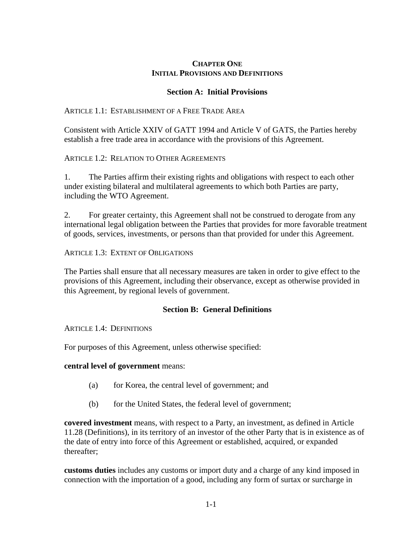## **CHAPTER ONE INITIAL PROVISIONS AND DEFINITIONS**

## **Section A: Initial Provisions**

ARTICLE 1.1: ESTABLISHMENT OF A FREE TRADE AREA

Consistent with Article XXIV of GATT 1994 and Article V of GATS, the Parties hereby establish a free trade area in accordance with the provisions of this Agreement.

ARTICLE 1.2: RELATION TO OTHER AGREEMENTS

1. The Parties affirm their existing rights and obligations with respect to each other under existing bilateral and multilateral agreements to which both Parties are party, including the WTO Agreement.

2. For greater certainty, this Agreement shall not be construed to derogate from any international legal obligation between the Parties that provides for more favorable treatment of goods, services, investments, or persons than that provided for under this Agreement.

ARTICLE 1.3: EXTENT OF OBLIGATIONS

The Parties shall ensure that all necessary measures are taken in order to give effect to the provisions of this Agreement, including their observance, except as otherwise provided in this Agreement, by regional levels of government.

## **Section B: General Definitions**

ARTICLE 1.4: DEFINITIONS

For purposes of this Agreement, unless otherwise specified:

**central level of government** means:

- (a) for Korea, the central level of government; and
- (b) for the United States, the federal level of government;

**covered investment** means, with respect to a Party, an investment, as defined in Article 11.28 (Definitions), in its territory of an investor of the other Party that is in existence as of the date of entry into force of this Agreement or established, acquired, or expanded thereafter;

**customs duties** includes any customs or import duty and a charge of any kind imposed in connection with the importation of a good, including any form of surtax or surcharge in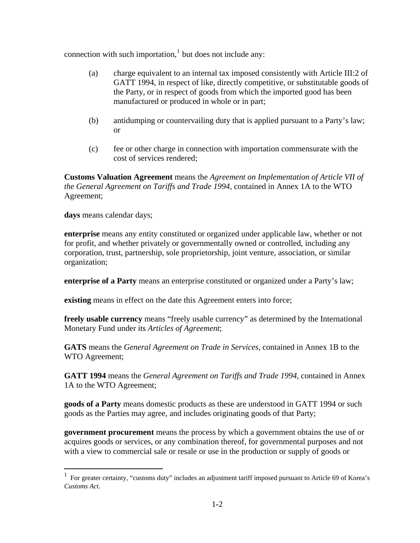connection with such importation, $<sup>1</sup>$  $<sup>1</sup>$  $<sup>1</sup>$  but does not include any:</sup>

- (a) charge equivalent to an internal tax imposed consistently with Article III:2 of GATT 1994, in respect of like, directly competitive, or substitutable goods of the Party, or in respect of goods from which the imported good has been manufactured or produced in whole or in part;
- (b) antidumping or countervailing duty that is applied pursuant to a Party's law; or
- (c) fee or other charge in connection with importation commensurate with the cost of services rendered;

**Customs Valuation Agreement** means the *Agreement on Implementation of Article VII of the General Agreement on Tariffs and Trade 1994*, contained in Annex 1A to the WTO Agreement;

**days** means calendar days;

 $\overline{a}$ 

**enterprise** means any entity constituted or organized under applicable law, whether or not for profit, and whether privately or governmentally owned or controlled, including any corporation, trust, partnership, sole proprietorship, joint venture, association, or similar organization;

**enterprise of a Party** means an enterprise constituted or organized under a Party's law;

**existing** means in effect on the date this Agreement enters into force;

**freely usable currency** means "freely usable currency" as determined by the International Monetary Fund under its *Articles of Agreement*;

**GATS** means the *General Agreement on Trade in Services*, contained in Annex 1B to the WTO Agreement;

**GATT 1994** means the *General Agreement on Tariffs and Trade 1994*, contained in Annex 1A to the WTO Agreement;

**goods of a Party** means domestic products as these are understood in GATT 1994 or such goods as the Parties may agree, and includes originating goods of that Party;

**government procurement** means the process by which a government obtains the use of or acquires goods or services, or any combination thereof, for governmental purposes and not with a view to commercial sale or resale or use in the production or supply of goods or

<span id="page-1-0"></span><sup>1</sup> For greater certainty, "customs duty" includes an adjustment tariff imposed pursuant to Article 69 of Korea's *Customs Act*.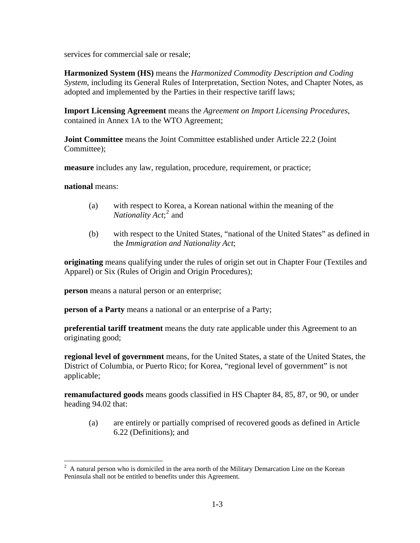services for commercial sale or resale;

**Harmonized System (HS)** means the *Harmonized Commodity Description and Coding System*, including its General Rules of Interpretation, Section Notes, and Chapter Notes, as adopted and implemented by the Parties in their respective tariff laws;

**Import Licensing Agreement** means the *Agreement on Import Licensing Procedures*, contained in Annex 1A to the WTO Agreement;

**Joint Committee** means the Joint Committee established under Article 22.2 (Joint Committee);

**measure** includes any law, regulation, procedure, requirement, or practice;

**national** means:

 $\overline{a}$ 

- (a) with respect to Korea, a Korean national within the meaning of the *Nationality Act*;<sup>[2](#page-2-0)</sup> and
- (b) with respect to the United States, "national of the United States" as defined in the *Immigration and Nationality Act*;

**originating** means qualifying under the rules of origin set out in Chapter Four (Textiles and Apparel) or Six (Rules of Origin and Origin Procedures);

**person** means a natural person or an enterprise;

**person of a Party** means a national or an enterprise of a Party;

**preferential tariff treatment** means the duty rate applicable under this Agreement to an originating good;

**regional level of government** means, for the United States, a state of the United States, the District of Columbia, or Puerto Rico; for Korea, "regional level of government" is not applicable;

**remanufactured goods** means goods classified in HS Chapter 84, 85, 87, or 90, or under heading 94.02 that:

(a) are entirely or partially comprised of recovered goods as defined in Article 6.22 (Definitions); and

<span id="page-2-0"></span> $2$  A natural person who is domiciled in the area north of the Military Demarcation Line on the Korean Peninsula shall not be entitled to benefits under this Agreement.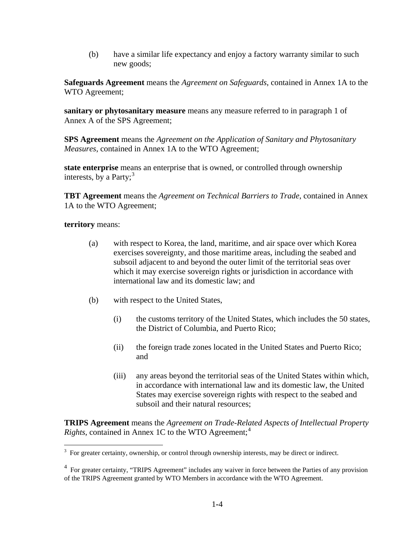(b) have a similar life expectancy and enjoy a factory warranty similar to such new goods;

**Safeguards Agreement** means the *Agreement on Safeguards*, contained in Annex 1A to the WTO Agreement;

**sanitary or phytosanitary measure** means any measure referred to in paragraph 1 of Annex A of the SPS Agreement;

**SPS Agreement** means the *Agreement on the Application of Sanitary and Phytosanitary Measures*, contained in Annex 1A to the WTO Agreement;

**state enterprise** means an enterprise that is owned, or controlled through ownership interests, by a Party; $3$ 

**TBT Agreement** means the *Agreement on Technical Barriers to Trade*, contained in Annex 1A to the WTO Agreement;

**territory** means:

- (a) with respect to Korea, the land, maritime, and air space over which Korea exercises sovereignty, and those maritime areas, including the seabed and subsoil adjacent to and beyond the outer limit of the territorial seas over which it may exercise sovereign rights or jurisdiction in accordance with international law and its domestic law; and
- (b) with respect to the United States,
	- (i) the customs territory of the United States, which includes the 50 states, the District of Columbia, and Puerto Rico;
	- (ii) the foreign trade zones located in the United States and Puerto Rico; and
	- (iii) any areas beyond the territorial seas of the United States within which, in accordance with international law and its domestic law, the United States may exercise sovereign rights with respect to the seabed and subsoil and their natural resources;

**TRIPS Agreement** means the *Agreement on Trade-Related Aspects of Intellectual Property Rights*, contained in Annex 1C to the WTO Agreement:<sup>[4](#page-3-1)</sup>

<span id="page-3-0"></span><sup>&</sup>lt;sup>3</sup> For greater certainty, ownership, or control through ownership interests, may be direct or indirect.

<span id="page-3-1"></span><sup>&</sup>lt;sup>4</sup> For greater certainty, "TRIPS Agreement" includes any waiver in force between the Parties of any provision of the TRIPS Agreement granted by WTO Members in accordance with the WTO Agreement.